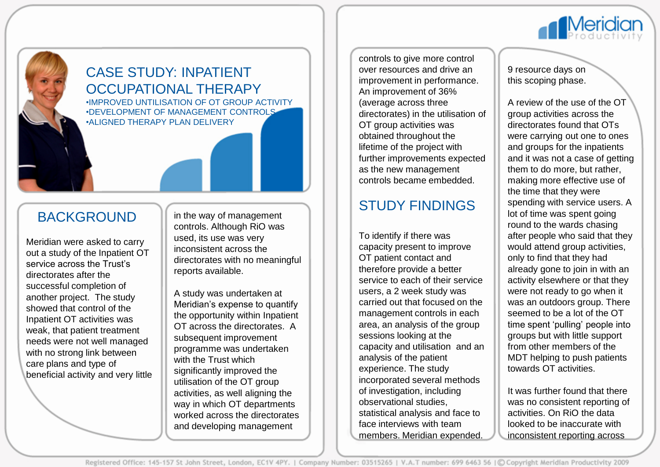

### CASE STUDY: INPATIENT OCCUPATIONAL THERAPY •IMPROVED UNTILISATION OF OT GROUP ACTIVITY •DEVELOPMENT OF MANAGEMENT CONTROLS

•ALIGNED THERAPY PLAN DELIVERY

### BACKGROUND

Meridian were asked to carry out a study of the Inpatient OT service across the Trust's directorates after the successful completion of another project. The study showed that control of the Inpatient OT activities was weak, that patient treatment needs were not well managed with no strong link between care plans and type of beneficial activity and very little in the way of management controls. Although RiO was used, its use was very inconsistent across the directorates with no meaningful reports available.

A study was undertaken at Meridian's expense to quantify the opportunity within Inpatient OT across the directorates. A subsequent improvement programme was undertaken with the Trust which significantly improved the utilisation of the OT group activities, as well aligning the way in which OT departments worked across the directorates and developing management

controls to give more control over resources and drive an improvement in performance. An improvement of 36% (average across three directorates) in the utilisation of OT group activities was obtained throughout the lifetime of the project with further improvements expected as the new management controls became embedded.

## STUDY FINDINGS

To identify if there was capacity present to improve OT patient contact and therefore provide a better service to each of their service users, a 2 week study was carried out that focused on the management controls in each area, an analysis of the group sessions looking at the capacity and utilisation and an analysis of the patient experience. The study incorporated several methods of investigation, including observational studies, statistical analysis and face to face interviews with team members. Meridian expended.

9 resource days on this scoping phase.

**Meridion** 

A review of the use of the OT group activities across the directorates found that OTs were carrying out one to ones and groups for the inpatients and it was not a case of getting them to do more, but rather, making more effective use of the time that they were spending with service users. A lot of time was spent going round to the wards chasing after people who said that they would attend group activities, only to find that they had already gone to join in with an activity elsewhere or that they were not ready to go when it was an outdoors group. There seemed to be a lot of the OT time spent 'pulling' people into groups but with little support from other members of the MDT helping to push patients towards OT activities.

It was further found that there was no consistent reporting of activities. On RiO the data looked to be inaccurate with inconsistent reporting across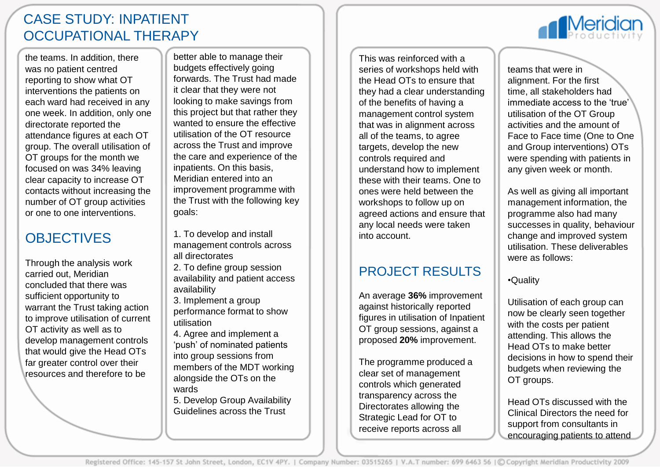## CASE STUDY: INPATIENT OCCUPATIONAL THERAPY

the teams. In addition, there was no patient centred reporting to show what OT interventions the patients on each ward had received in any one week. In addition, only one directorate reported the attendance figures at each OT group. The overall utilisation of OT groups for the month we focused on was 34% leaving clear capacity to increase OT contacts without increasing the number of OT group activities or one to one interventions.

# **OBJECTIVES**

Through the analysis work carried out, Meridian concluded that there was sufficient opportunity to warrant the Trust taking action to improve utilisation of current OT activity as well as to develop management controls that would give the Head OTs far greater control over their resources and therefore to be

better able to manage their budgets effectively going forwards. The Trust had made it clear that they were not looking to make savings from this project but that rather they wanted to ensure the effective utilisation of the OT resource across the Trust and improve the care and experience of the inpatients. On this basis, Meridian entered into an improvement programme with the Trust with the following key goals:

- 1. To develop and install management controls across all directorates
- 2. To define group session availability and patient access availability

3. Implement a group performance format to show utilisation

4. Agree and implement a 'push' of nominated patients into group sessions from members of the MDT working alongside the OTs on the wards

5. Develop Group Availability Guidelines across the Trust

This was reinforced with a series of workshops held with the Head OTs to ensure that they had a clear understanding of the benefits of having a management control system that was in alignment across all of the teams, to agree targets, develop the new controls required and understand how to implement these with their teams. One to ones were held between the workshops to follow up on agreed actions and ensure that any local needs were taken into account.

### PROJECT RESULTS

An average **36%** improvement against historically reported figures in utilisation of Inpatient OT group sessions, against a proposed **20%** improvement.

The programme produced a clear set of management controls which generated transparency across the Directorates allowing the Strategic Lead for OT to receive reports across all

teams that were in alignment. For the first time, all stakeholders had immediate access to the 'true' utilisation of the OT Group activities and the amount of Face to Face time (One to One and Group interventions) OTs were spending with patients in any given week or month.

**Meridian** 

As well as giving all important management information, the programme also had many successes in quality, behaviour change and improved system utilisation. These deliverables were as follows:

#### •Quality

Utilisation of each group can now be clearly seen together with the costs per patient attending. This allows the Head OTs to make better decisions in how to spend their budgets when reviewing the OT groups.

Head OTs discussed with the Clinical Directors the need for support from consultants in encouraging patients to attend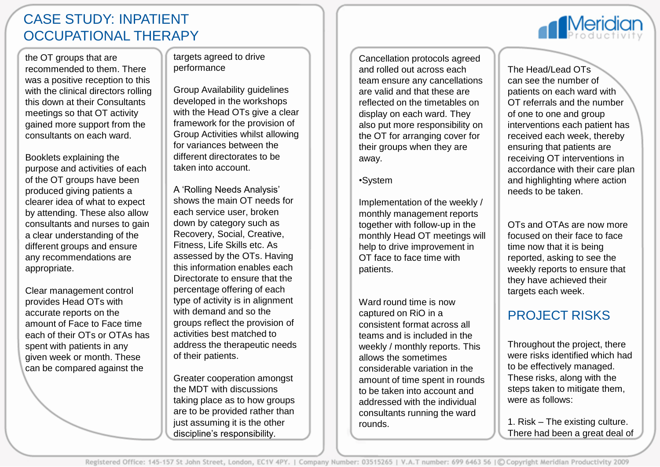### CASE STUDY: INPATIENT OCCUPATIONAL THERAPY

the OT groups that are recommended to them. There was a positive reception to this with the clinical directors rolling this down at their Consultants meetings so that OT activity gained more support from the consultants on each ward.

Booklets explaining the purpose and activities of each of the OT groups have been produced giving patients a clearer idea of what to expect by attending. These also allow consultants and nurses to gain a clear understanding of the different groups and ensure any recommendations are appropriate.

Clear management control provides Head OTs with accurate reports on the amount of Face to Face time each of their OTs or OTAs has spent with patients in any given week or month. These can be compared against the

targets agreed to drive performance

Group Availability guidelines developed in the workshops with the Head OTs give a clear framework for the provision of Group Activities whilst allowing for variances between the different directorates to be taken into account.

A 'Rolling Needs Analysis' shows the main OT needs for each service user, broken down by category such as Recovery, Social, Creative, Fitness, Life Skills etc. As assessed by the OTs. Having this information enables each Directorate to ensure that the percentage offering of each type of activity is in alignment with demand and so the groups reflect the provision of activities best matched to address the therapeutic needs of their patients.

Greater cooperation amongst the MDT with discussions taking place as to how groups are to be provided rather than just assuming it is the other discipline's responsibility.

Cancellation protocols agreed and rolled out across each team ensure any cancellations are valid and that these are reflected on the timetables on display on each ward. They also put more responsibility on the OT for arranging cover for their groups when they are away.

#### •System

Implementation of the weekly / monthly management reports together with follow-up in the monthly Head OT meetings will help to drive improvement in OT face to face time with patients.

Ward round time is now captured on RiO in a consistent format across all teams and is included in the weekly / monthly reports. This allows the sometimes considerable variation in the amount of time spent in rounds to be taken into account and addressed with the individual consultants running the ward rounds.

The Head/Lead OTs can see the number of patients on each ward with OT referrals and the number of one to one and group interventions each patient has received each week, thereby ensuring that patients are receiving OT interventions in accordance with their care plan and highlighting where action needs to be taken.

OTs and OTAs are now more focused on their face to face time now that it is being reported, asking to see the weekly reports to ensure that they have achieved their targets each week.

### PROJECT RISKS

Throughout the project, there were risks identified which had to be effectively managed. These risks, along with the steps taken to mitigate them, were as follows:

1. Risk – The existing culture. There had been a great deal of